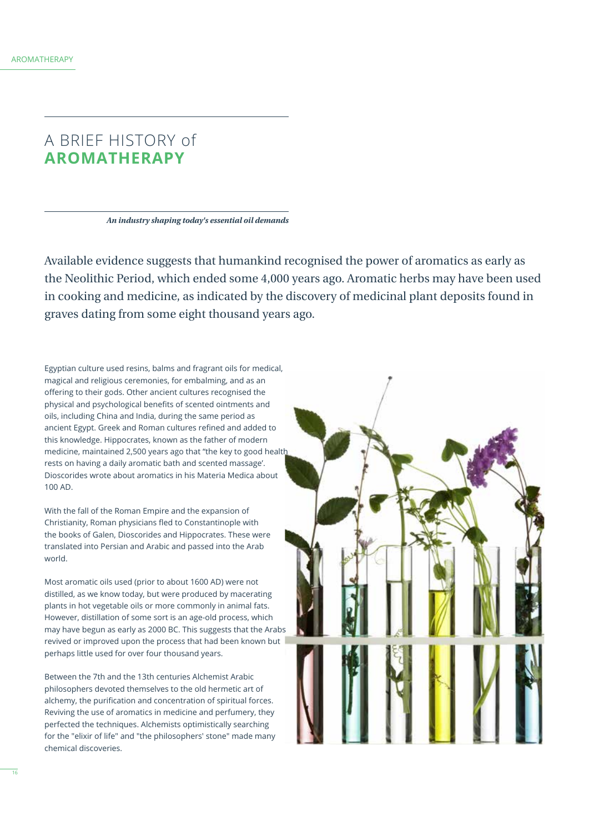# A BRIEF HISTORY of **AROMATHERAPY**

*An industry shaping today's essential oil demands*

Available evidence suggests that humankind recognised the power of aromatics as early as the Neolithic Period, which ended some 4,000 years ago. Aromatic herbs may have been used in cooking and medicine, as indicated by the discovery of medicinal plant deposits found in graves dating from some eight thousand years ago.

Egyptian culture used resins, balms and fragrant oils for medical, magical and religious ceremonies, for embalming, and as an ofering to their gods. Other ancient cultures recognised the physical and psychological benefts of scented ointments and oils, including China and India, during the same period as ancient Egypt. Greek and Roman cultures refned and added to this knowledge. Hippocrates, known as the father of modern medicine, maintained 2,500 years ago that "the key to good health rests on having a daily aromatic bath and scented massage'. Dioscorides wrote about aromatics in his Materia Medica about 100 AD.

With the fall of the Roman Empire and the expansion of Christianity, Roman physicians fed to Constantinople with the books of Galen, Dioscorides and Hippocrates. These were translated into Persian and Arabic and passed into the Arab world.

Most aromatic oils used (prior to about 1600 AD) were not distilled, as we know today, but were produced by macerating plants in hot vegetable oils or more commonly in animal fats. However, distillation of some sort is an age-old process, which may have begun as early as 2000 BC. This suggests that the Arabs revived or improved upon the process that had been known but perhaps little used for over four thousand years.

Between the 7th and the 13th centuries Alchemist Arabic philosophers devoted themselves to the old hermetic art of alchemy, the purification and concentration of spiritual forces. Reviving the use of aromatics in medicine and perfumery, they perfected the techniques. Alchemists optimistically searching for the "elixir of life" and "the philosophers' stone" made many chemical discoveries.

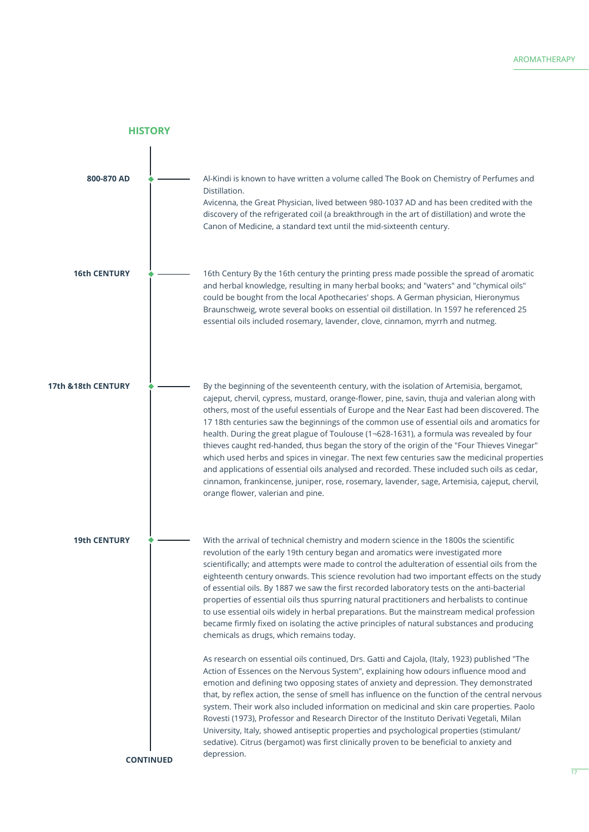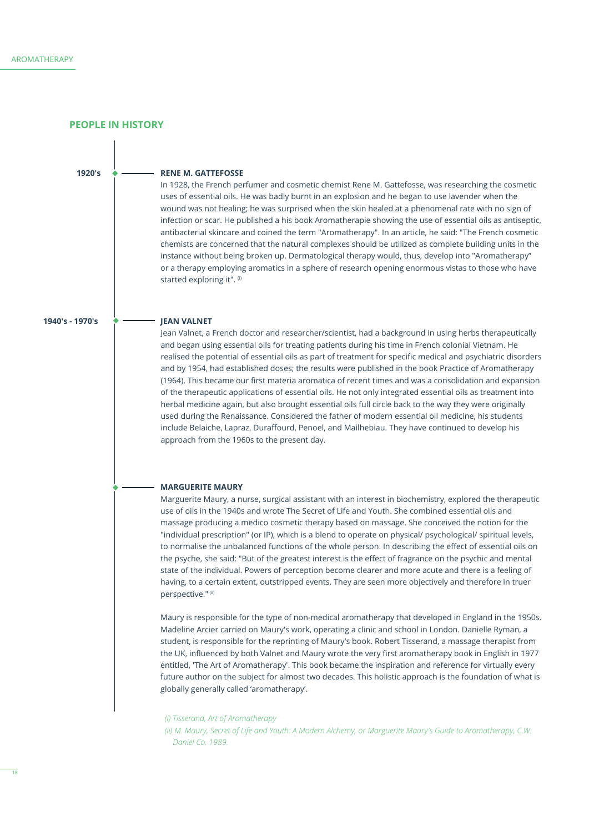**PEOPLE IN HISTORY**

**1920's**

#### **RENE M. GATTEFOSSE**

In 1928, the French perfumer and cosmetic chemist Rene M. Gattefosse, was researching the cosmetic uses of essential oils. He was badly burnt in an explosion and he began to use lavender when the wound was not healing; he was surprised when the skin healed at a phenomenal rate with no sign of infection or scar. He published a his book Aromatherapie showing the use of essential oils as antiseptic, antibacterial skincare and coined the term "Aromatherapy". In an article, he said: "The French cosmetic chemists are concerned that the natural complexes should be utilized as complete building units in the instance without being broken up. Dermatological therapy would, thus, develop into "Aromatherapy" or a therapy employing aromatics in a sphere of research opening enormous vistas to those who have started exploring it". (i)

### **1940's - 1970's**

# **JEAN VALNET**

Jean Valnet, a French doctor and researcher/scientist, had a background in using herbs therapeutically and began using essential oils for treating patients during his time in French colonial Vietnam. He realised the potential of essential oils as part of treatment for specifc medical and psychiatric disorders and by 1954, had established doses; the results were published in the book Practice of Aromatherapy (1964). This became our frst materia aromatica of recent times and was a consolidation and expansion of the therapeutic applications of essential oils. He not only integrated essential oils as treatment into herbal medicine again, but also brought essential oils full circle back to the way they were originally used during the Renaissance. Considered the father of modern essential oil medicine, his students include Belaiche, Lapraz, Duraffourd, Penoel, and Mailhebiau. They have continued to develop his approach from the 1960s to the present day.

#### **MARGUERITE MAURY**

Marguerite Maury, a nurse, surgical assistant with an interest in biochemistry, explored the therapeutic use of oils in the 1940s and wrote The Secret of Life and Youth. She combined essential oils and massage producing a medico cosmetic therapy based on massage. She conceived the notion for the "individual prescription" (or IP), which is a blend to operate on physical/ psychological/ spiritual levels, to normalise the unbalanced functions of the whole person. In describing the efect of essential oils on the psyche, she said: "But of the greatest interest is the efect of fragrance on the psychic and mental state of the individual. Powers of perception become clearer and more acute and there is a feeling of having, to a certain extent, outstripped events. They are seen more objectively and therefore in truer perspective." (ii)

Maury is responsible for the type of non-medical aromatherapy that developed in England in the 1950s. Madeline Arcier carried on Maury's work, operating a clinic and school in London. Danielle Ryman, a student, is responsible for the reprinting of Maury's book. Robert Tisserand, a massage therapist from the UK, infuenced by both Valnet and Maury wrote the very frst aromatherapy book in English in 1977 entitled, 'The Art of Aromatherapy'. This book became the inspiration and reference for virtually every future author on the subject for almost two decades. This holistic approach is the foundation of what is globally generally called 'aromatherapy'.

 *(i) Tisserand, Art of Aromatherapy*

 *(ii) M. Maury, Secret of Life and Youth: A Modern Alchemy, or Marguerite Maury's Guide to Aromatherapy, C.W. Daniel Co. 1989.*